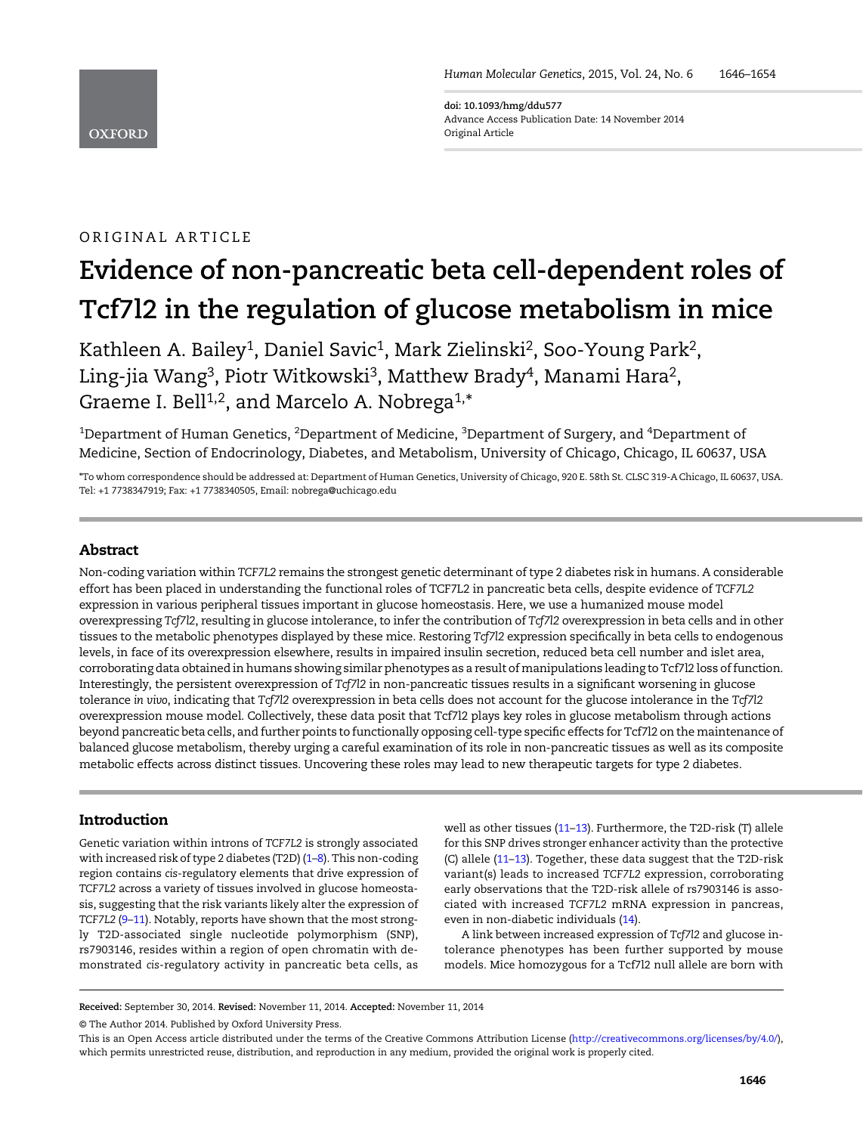**OXFORD** 

doi: 10.1093/hmg/ddu577 Advance Access Publication Date: 14 November 2014 Original Article

# ORIGINAL ARTICLE

# Evidence of non-pancreatic beta cell-dependent roles of Tcf7l2 in the regulation of glucose metabolism in mice

Kathleen A. Bailey<sup>1</sup>, Daniel Savic<sup>1</sup>, Mark Zielinski<sup>2</sup>, Soo-Young Park<sup>2</sup>, Ling-jia Wang<sup>3</sup>, Piotr Witkowski<sup>3</sup>, Matthew Brady<sup>4</sup>, Manami Hara<sup>2</sup>, Graeme I. Bell<sup>1,2</sup>, and Marcelo A. Nobrega<sup>1,\*</sup>

 $^{\rm 1}$ Department of Human Genetics,  $^{\rm 2}$ Department of Medicine,  $^{\rm 3}$ Department of Surgery, and  $^{\rm 4}$ Department of Medicine, Section of Endocrinology, Diabetes, and Metabolism, University of Chicago, Chicago, IL 60637, USA

\*To whom correspondence should be addressed at: Department of Human Genetics, University of Chicago, 920 E. 58th St. CLSC 319-A Chicago, IL 60637, USA. Tel: +1 7738347919; Fax: +1 7738340505, Email: nobrega@uchicago.edu

# Abstract

Non-coding variation within TCF7L2 remains the strongest genetic determinant of type 2 diabetes risk in humans. A considerable effort has been placed in understanding the functional roles of TCF7L2 in pancreatic beta cells, despite evidence of TCF7L2 expression in various peripheral tissues important in glucose homeostasis. Here, we use a humanized mouse model overexpressing Tcf7l2, resulting in glucose intolerance, to infer the contribution of Tcf7l2 overexpression in beta cells and in other tissues to the metabolic phenotypes displayed by these mice. Restoring Tcf7l2 expression specifically in beta cells to endogenous levels, in face of its overexpression elsewhere, results in impaired insulin secretion, reduced beta cell number and islet area, corroborating data obtained in humans showing similar phenotypes as a result ofmanipulations leading to Tcf7l2 loss of function. Interestingly, the persistent overexpression of Tcf7l2 in non-pancreatic tissues results in a significant worsening in glucose tolerance in vivo, indicating that Tcf7l2 overexpression in beta cells does not account for the glucose intolerance in the Tcf7l2 overexpression mouse model. Collectively, these data posit that Tcf7l2 plays key roles in glucose metabolism through actions beyond pancreatic beta cells, and further points to functionally opposing cell-type specific effects for Tcf7l2 on the maintenance of balanced glucose metabolism, thereby urging a careful examination of its role in non-pancreatic tissues as well as its composite metabolic effects across distinct tissues. Uncovering these roles may lead to new therapeutic targets for type 2 diabetes.

## Introduction

Genetic variation within introns of TCF7L2 is strongly associated with increased risk of type 2 diabetes (T2D) [\(1](#page-6-0)–[8](#page-7-0)). This non-coding region contains cis-regulatory elements that drive expression of TCF7L2 across a variety of tissues involved in glucose homeostasis, suggesting that the risk variants likely alter the expression of TCF7L2 [\(9](#page-7-0)-[11](#page-7-0)). Notably, reports have shown that the most strongly T2D-associated single nucleotide polymorphism (SNP), rs7903146, resides within a region of open chromatin with demonstrated cis-regulatory activity in pancreatic beta cells, as

well as other tissues [\(11](#page-7-0)–[13](#page-7-0)). Furthermore, the T2D-risk (T) allele for this SNP drives stronger enhancer activity than the protective (C) allele ([11](#page-7-0)–[13](#page-7-0)). Together, these data suggest that the T2D-risk variant(s) leads to increased TCF7L2 expression, corroborating early observations that the T2D-risk allele of rs7903146 is associated with increased TCF7L2 mRNA expression in pancreas, even in non-diabetic individuals ([14\)](#page-7-0).

A link between increased expression of Tcf7l2 and glucose intolerance phenotypes has been further supported by mouse models. Mice homozygous for a Tcf7l2 null allele are born with

© The Author 2014. Published by Oxford University Press.

Received: September 30, 2014. Revised: November 11, 2014. Accepted: November 11, 2014

This is an Open Access article distributed under the terms of the Creative Commons Attribution License ([http://creativecommons.org/licenses/by/4.0/\)](http://creativecommons.org/licenses/by/4.0/), which permits unrestricted reuse, distribution, and reproduction in any medium, provided the original work is properly cited.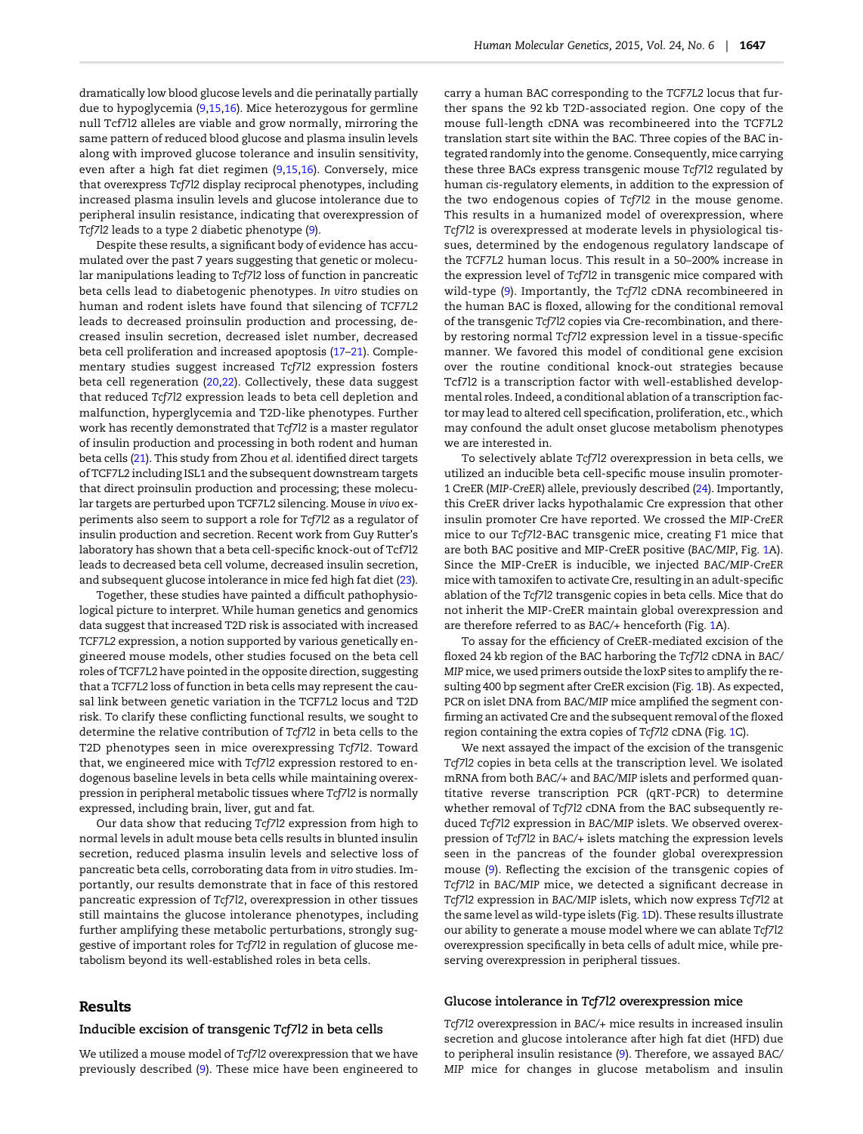dramatically low blood glucose levels and die perinatally partially due to hypoglycemia ([9,15,16](#page-7-0)). Mice heterozygous for germline null Tcf7l2 alleles are viable and grow normally, mirroring the same pattern of reduced blood glucose and plasma insulin levels along with improved glucose tolerance and insulin sensitivity, even after a high fat diet regimen ([9,15,16](#page-7-0)). Conversely, mice that overexpress Tcf7l2 display reciprocal phenotypes, including increased plasma insulin levels and glucose intolerance due to peripheral insulin resistance, indicating that overexpression of Tcf7l2 leads to a type 2 diabetic phenotype [\(9](#page-7-0)).

Despite these results, a significant body of evidence has accumulated over the past 7 years suggesting that genetic or molecular manipulations leading to Tcf7l2 loss of function in pancreatic beta cells lead to diabetogenic phenotypes. In vitro studies on human and rodent islets have found that silencing of TCF7L2 leads to decreased proinsulin production and processing, decreased insulin secretion, decreased islet number, decreased beta cell proliferation and increased apoptosis [\(17](#page-7-0)–[21\)](#page-7-0). Complementary studies suggest increased Tcf7l2 expression fosters beta cell regeneration ([20,22\)](#page-7-0). Collectively, these data suggest that reduced Tcf7l2 expression leads to beta cell depletion and malfunction, hyperglycemia and T2D-like phenotypes. Further work has recently demonstrated that Tcf7l2 is a master regulator of insulin production and processing in both rodent and human beta cells [\(21\)](#page-7-0). This study from Zhou et al. identified direct targets of TCF7L2 including ISL1 and the subsequent downstream targets that direct proinsulin production and processing; these molecular targets are perturbed upon TCF7L2 silencing. Mouse in vivo experiments also seem to support a role for Tcf7l2 as a regulator of insulin production and secretion. Recent work from Guy Rutter's laboratory has shown that a beta cell-specific knock-out of Tcf7l2 leads to decreased beta cell volume, decreased insulin secretion, and subsequent glucose intolerance in mice fed high fat diet ([23](#page-7-0)).

Together, these studies have painted a difficult pathophysiological picture to interpret. While human genetics and genomics data suggest that increased T2D risk is associated with increased TCF7L2 expression, a notion supported by various genetically engineered mouse models, other studies focused on the beta cell roles of TCF7L2 have pointed in the opposite direction, suggesting that a TCF7L2 loss of function in beta cells may represent the causal link between genetic variation in the TCF7L2 locus and T2D risk. To clarify these conflicting functional results, we sought to determine the relative contribution of Tcf7l2 in beta cells to the T2D phenotypes seen in mice overexpressing Tcf7l2. Toward that, we engineered mice with Tcf7l2 expression restored to endogenous baseline levels in beta cells while maintaining overexpression in peripheral metabolic tissues where Tcf7l2 is normally expressed, including brain, liver, gut and fat.

Our data show that reducing Tcf7l2 expression from high to normal levels in adult mouse beta cells results in blunted insulin secretion, reduced plasma insulin levels and selective loss of pancreatic beta cells, corroborating data from in vitro studies. Importantly, our results demonstrate that in face of this restored pancreatic expression of Tcf7l2, overexpression in other tissues still maintains the glucose intolerance phenotypes, including further amplifying these metabolic perturbations, strongly suggestive of important roles for Tcf7l2 in regulation of glucose metabolism beyond its well-established roles in beta cells.

# Results

#### Inducible excision of transgenic Tcf7l2 in beta cells

We utilized a mouse model of Tcf7l2 overexpression that we have previously described ([9](#page-7-0)). These mice have been engineered to

carry a human BAC corresponding to the TCF7L2 locus that further spans the 92 kb T2D-associated region. One copy of the mouse full-length cDNA was recombineered into the TCF7L2 translation start site within the BAC. Three copies of the BAC integrated randomly into the genome. Consequently, mice carrying these three BACs express transgenic mouse Tcf7l2 regulated by human cis-regulatory elements, in addition to the expression of the two endogenous copies of Tcf7l2 in the mouse genome. This results in a humanized model of overexpression, where Tcf7l2 is overexpressed at moderate levels in physiological tissues, determined by the endogenous regulatory landscape of the TCF7L2 human locus. This result in a 50–200% increase in the expression level of Tcf7l2 in transgenic mice compared with wild-type ([9](#page-7-0)). Importantly, the Tcf7l2 cDNA recombineered in the human BAC is floxed, allowing for the conditional removal of the transgenic Tcf7l2 copies via Cre-recombination, and thereby restoring normal Tcf7l2 expression level in a tissue-specific manner. We favored this model of conditional gene excision over the routine conditional knock-out strategies because Tcf7l2 is a transcription factor with well-established developmental roles. Indeed, a conditional ablation of a transcription factor may lead to altered cell specification, proliferation, etc., which may confound the adult onset glucose metabolism phenotypes we are interested in.

To selectively ablate Tcf7l2 overexpression in beta cells, we utilized an inducible beta cell-specific mouse insulin promoter-1 CreER (MIP-CreER) allele, previously described [\(24\)](#page-7-0). Importantly, this CreER driver lacks hypothalamic Cre expression that other insulin promoter Cre have reported. We crossed the MIP-CreER mice to our Tcf7l2-BAC transgenic mice, creating F1 mice that are both BAC positive and MIP-CreER positive (BAC/MIP, Fig. [1A](#page-2-0)). Since the MIP-CreER is inducible, we injected BAC/MIP-CreER mice with tamoxifen to activate Cre, resulting in an adult-specific ablation of the Tcf7l2 transgenic copies in beta cells. Mice that do not inherit the MIP-CreER maintain global overexpression and are therefore referred to as BAC/+ henceforth (Fig. [1A](#page-2-0)).

To assay for the efficiency of CreER-mediated excision of the floxed 24 kb region of the BAC harboring the Tcf7l2 cDNA in BAC/ MIP mice, we used primers outside the loxP sites to amplify the resulting 400 bp segment after CreER excision (Fig. [1B](#page-2-0)). As expected, PCR on islet DNA from BAC/MIP mice amplified the segment confirming an activated Cre and the subsequent removal of the floxed region containing the extra copies of Tcf7l2 cDNA (Fig. [1C](#page-2-0)).

We next assayed the impact of the excision of the transgenic Tcf7l2 copies in beta cells at the transcription level. We isolated mRNA from both BAC/+ and BAC/MIP islets and performed quantitative reverse transcription PCR (qRT-PCR) to determine whether removal of Tcf7l2 cDNA from the BAC subsequently reduced Tcf7l2 expression in BAC/MIP islets. We observed overexpression of Tcf7l2 in BAC/+ islets matching the expression levels seen in the pancreas of the founder global overexpression mouse [\(9\)](#page-7-0). Reflecting the excision of the transgenic copies of Tcf7l2 in BAC/MIP mice, we detected a significant decrease in Tcf7l2 expression in BAC/MIP islets, which now express Tcf7l2 at the same level as wild-type islets (Fig. [1](#page-2-0)D). These results illustrate our ability to generate a mouse model where we can ablate Tcf7l2 overexpression specifically in beta cells of adult mice, while preserving overexpression in peripheral tissues.

### Glucose intolerance in Tcf7l2 overexpression mice

Tcf7l2 overexpression in BAC/+ mice results in increased insulin secretion and glucose intolerance after high fat diet (HFD) due to peripheral insulin resistance [\(9\)](#page-7-0). Therefore, we assayed BAC/ MIP mice for changes in glucose metabolism and insulin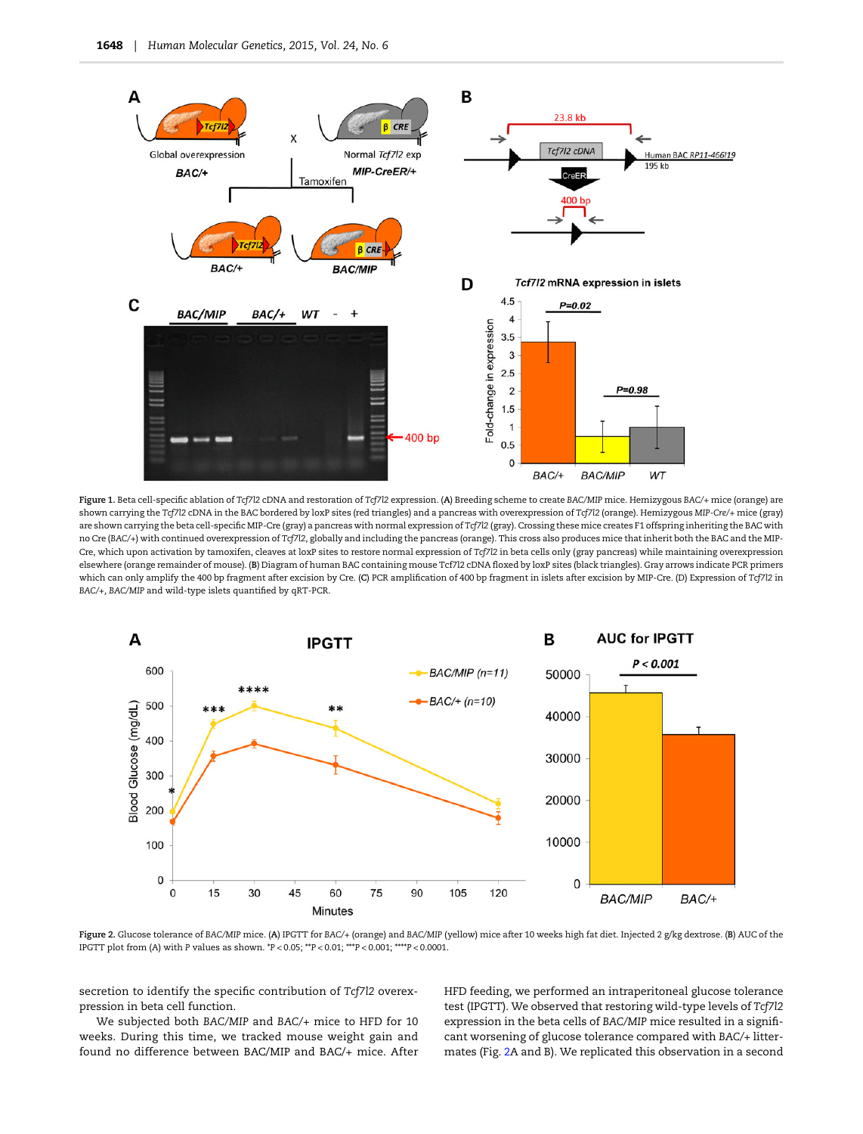<span id="page-2-0"></span>

Figure 1. Beta cell-specific ablation of Tcf7l2 cDNA and restoration of Tcf7l2 expression. (A) Breeding scheme to create BAC/MIP mice. Hemizygous BAC/+ mice (orange) are shown carrying the Tcf7l2 cDNA in the BAC bordered by loxP sites (red triangles) and a pancreas with overexpression of Tcf7l2 (orange). Hemizygous MIP-Cre/+ mice (gray) are shown carrying the beta cell-specific MIP-Cre (gray) a pancreas with normal expression of Tcf7l2 (gray). Crossing these mice creates F1 offspring inheriting the BAC with no Cre (BAC/+) with continued overexpression of Tcf7l2, globally and including the pancreas (orange). This cross also produces mice that inherit both the BAC and the MIP-Cre, which upon activation by tamoxifen, cleaves at loxP sites to restore normal expression of Tcf7l2 in beta cells only (gray pancreas) while maintaining overexpression elsewhere (orange remainder of mouse). (B) Diagram of human BAC containing mouse Tcf7l2 cDNA floxed by loxP sites (black triangles). Gray arrows indicate PCR primers which can only amplify the 400 bp fragment after excision by Cre. (C) PCR amplification of 400 bp fragment in islets after excision by MIP-Cre. (D) Expression of Tcf7l2 in BAC/+, BAC/MIP and wild-type islets quantified by qRT-PCR.



Figure 2. Glucose tolerance of BAC/MIP mice. (A) IPGTT for BAC/+ (orange) and BAC/MIP (yellow) mice after 10 weeks high fat diet. Injected 2 g/kg dextrose. (B) AUC of the IPGTT plot from (A) with P values as shown. \*P < 0.05; \*\*P < 0.01; \*\*\*P < 0.001; \*\*\*\*P < 0.0001.

secretion to identify the specific contribution of Tcf7l2 overexpression in beta cell function.

We subjected both BAC/MIP and BAC/+ mice to HFD for 10 weeks. During this time, we tracked mouse weight gain and found no difference between BAC/MIP and BAC/+ mice. After

HFD feeding, we performed an intraperitoneal glucose tolerance test (IPGTT). We observed that restoring wild-type levels of Tcf7l2 expression in the beta cells of BAC/MIP mice resulted in a significant worsening of glucose tolerance compared with BAC/+ littermates (Fig. 2A and B). We replicated this observation in a second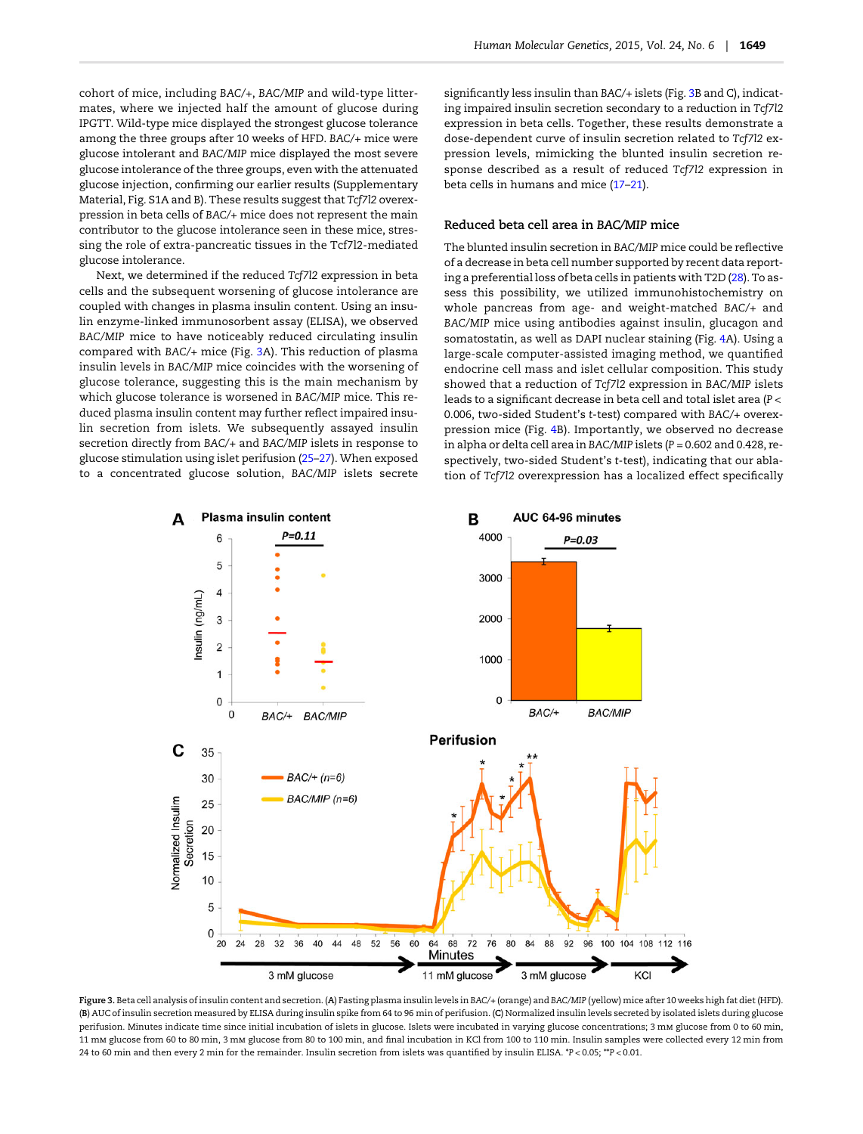cohort of mice, including BAC/+, BAC/MIP and wild-type littermates, where we injected half the amount of glucose during IPGTT. Wild-type mice displayed the strongest glucose tolerance among the three groups after 10 weeks of HFD. BAC/+ mice were glucose intolerant and BAC/MIP mice displayed the most severe glucose intolerance of the three groups, even with the attenuated glucose injection, confirming our earlier results [\(Supplementary](http://hmg.oxfordjournals.org/lookup/suppl/doi:10.1093/hmg/ddu577/-/DC1) [Material, Fig. S1A and B](http://hmg.oxfordjournals.org/lookup/suppl/doi:10.1093/hmg/ddu577/-/DC1)). These results suggest that Tcf7l2 overexpression in beta cells of BAC/+ mice does not represent the main contributor to the glucose intolerance seen in these mice, stressing the role of extra-pancreatic tissues in the Tcf7l2-mediated glucose intolerance.

Next, we determined if the reduced Tcf7l2 expression in beta cells and the subsequent worsening of glucose intolerance are coupled with changes in plasma insulin content. Using an insulin enzyme-linked immunosorbent assay (ELISA), we observed BAC/MIP mice to have noticeably reduced circulating insulin compared with BAC/+ mice (Fig. 3A). This reduction of plasma insulin levels in BAC/MIP mice coincides with the worsening of glucose tolerance, suggesting this is the main mechanism by which glucose tolerance is worsened in BAC/MIP mice. This reduced plasma insulin content may further reflect impaired insulin secretion from islets. We subsequently assayed insulin secretion directly from BAC/+ and BAC/MIP islets in response to glucose stimulation using islet perifusion [\(25](#page-7-0)–[27\)](#page-7-0). When exposed to a concentrated glucose solution, BAC/MIP islets secrete

significantly less insulin than BAC/+ islets (Fig. 3B and C), indicating impaired insulin secretion secondary to a reduction in Tcf7l2 expression in beta cells. Together, these results demonstrate a dose-dependent curve of insulin secretion related to Tcf7l2 expression levels, mimicking the blunted insulin secretion response described as a result of reduced Tcf7l2 expression in beta cells in humans and mice [\(17](#page-7-0)–[21\)](#page-7-0).

# Reduced beta cell area in BAC/MIP mice

The blunted insulin secretion in BAC/MIP mice could be reflective of a decrease in beta cell number supported by recent data reporting a preferential loss of beta cells in patients with T2D ([28](#page-7-0)). To assess this possibility, we utilized immunohistochemistry on whole pancreas from age- and weight-matched BAC/+ and BAC/MIP mice using antibodies against insulin, glucagon and somatostatin, as well as DAPI nuclear staining (Fig. [4A](#page-4-0)). Using a large-scale computer-assisted imaging method, we quantified endocrine cell mass and islet cellular composition. This study showed that a reduction of Tcf7l2 expression in BAC/MIP islets leads to a significant decrease in beta cell and total islet area (P < 0.006, two-sided Student's t-test) compared with BAC/+ overexpression mice (Fig. [4](#page-4-0)B). Importantly, we observed no decrease in alpha or delta cell area in BAC/MIP islets ( $P = 0.602$  and 0.428, respectively, two-sided Student's t-test), indicating that our ablation of Tcf7l2 overexpression has a localized effect specifically



Figure 3. Beta cell analysis of insulin content and secretion. (A) Fasting plasma insulin levels in BAC/+ (orange) and BAC/MIP (yellow) mice after 10 weeks high fat diet (HFD). (B) AUC of insulin secretion measured by ELISA during insulin spike from 64 to 96 min of perifusion. (C) Normalized insulin levels secreted by isolated islets during glucose perifusion. Minutes indicate time since initial incubation of islets in glucose. Islets were incubated in varying glucose concentrations; 3 mm glucose from 0 to 60 min, 11 mm glucose from 60 to 80 min, 3 mm glucose from 80 to 100 min, and final incubation in KCl from 100 to 110 min. Insulin samples were collected every 12 min from 24 to 60 min and then every 2 min for the remainder. Insulin secretion from islets was quantified by insulin ELISA. \*P < 0.05; \*\*P < 0.01.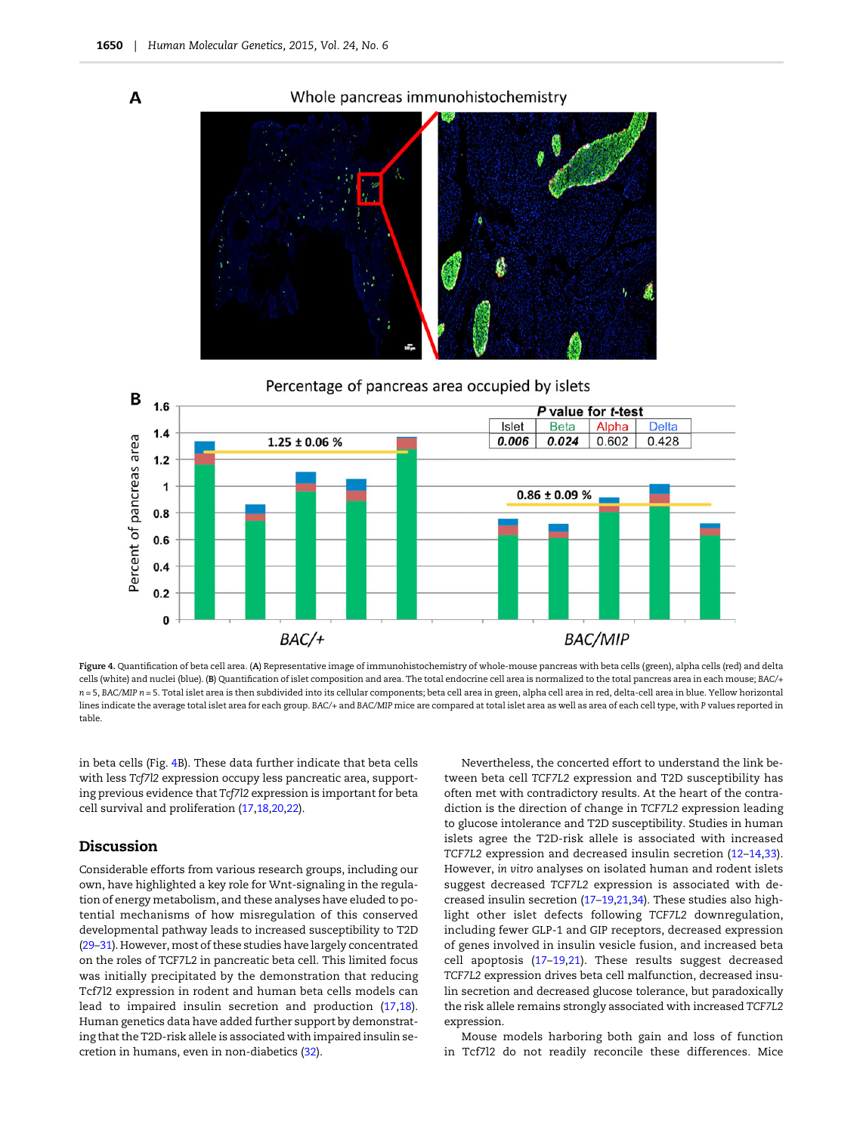<span id="page-4-0"></span> $\overline{A}$ 





Figure 4. Quantification of beta cell area. (A) Representative image of immunohistochemistry of whole-mouse pancreas with beta cells (green), alpha cells (red) and delta cells (white) and nuclei (blue). (B) Quantification of islet composition and area. The total endocrine cell area is normalized to the total pancreas area in each mouse; BAC/+ n = 5, BAC/MIP n = 5. Total islet area is then subdivided into its cellular components; beta cell area in green, alpha cell area in red, delta-cell area in blue. Yellow horizontal lines indicate the average total islet area for each group. BAC/+ and BAC/MIP mice are compared at total islet area as well as area of each cell type, with P values reported in table.

in beta cells (Fig. 4B). These data further indicate that beta cells with less Tcf7l2 expression occupy less pancreatic area, supporting previous evidence that Tcf7l2 expression is important for beta cell survival and proliferation ([17,18](#page-7-0),[20,22](#page-7-0)).

## Discussion

Considerable efforts from various research groups, including our own, have highlighted a key role for Wnt-signaling in the regulation of energy metabolism, and these analyses have eluded to potential mechanisms of how misregulation of this conserved developmental pathway leads to increased susceptibility to T2D ([29](#page-7-0)–[31](#page-7-0)). However, most of these studies have largely concentrated on the roles of TCF7L2 in pancreatic beta cell. This limited focus was initially precipitated by the demonstration that reducing Tcf7l2 expression in rodent and human beta cells models can lead to impaired insulin secretion and production ([17](#page-7-0),[18](#page-7-0)). Human genetics data have added further support by demonstrating that the T2D-risk allele is associated with impaired insulin secretion in humans, even in non-diabetics [\(32](#page-7-0)).

Nevertheless, the concerted effort to understand the link between beta cell TCF7L2 expression and T2D susceptibility has often met with contradictory results. At the heart of the contradiction is the direction of change in TCF7L2 expression leading to glucose intolerance and T2D susceptibility. Studies in human islets agree the T2D-risk allele is associated with increased TCF7L2 expression and decreased insulin secretion ([12](#page-7-0)–[14](#page-7-0),[33](#page-7-0)). However, in vitro analyses on isolated human and rodent islets suggest decreased TCF7L2 expression is associated with decreased insulin secretion [\(17](#page-7-0)–[19,21,34](#page-7-0)). These studies also highlight other islet defects following TCF7L2 downregulation, including fewer GLP-1 and GIP receptors, decreased expression of genes involved in insulin vesicle fusion, and increased beta cell apoptosis [\(17](#page-7-0)–[19,21\)](#page-7-0). These results suggest decreased TCF7L2 expression drives beta cell malfunction, decreased insulin secretion and decreased glucose tolerance, but paradoxically the risk allele remains strongly associated with increased TCF7L2 expression.

Mouse models harboring both gain and loss of function in Tcf7l2 do not readily reconcile these differences. Mice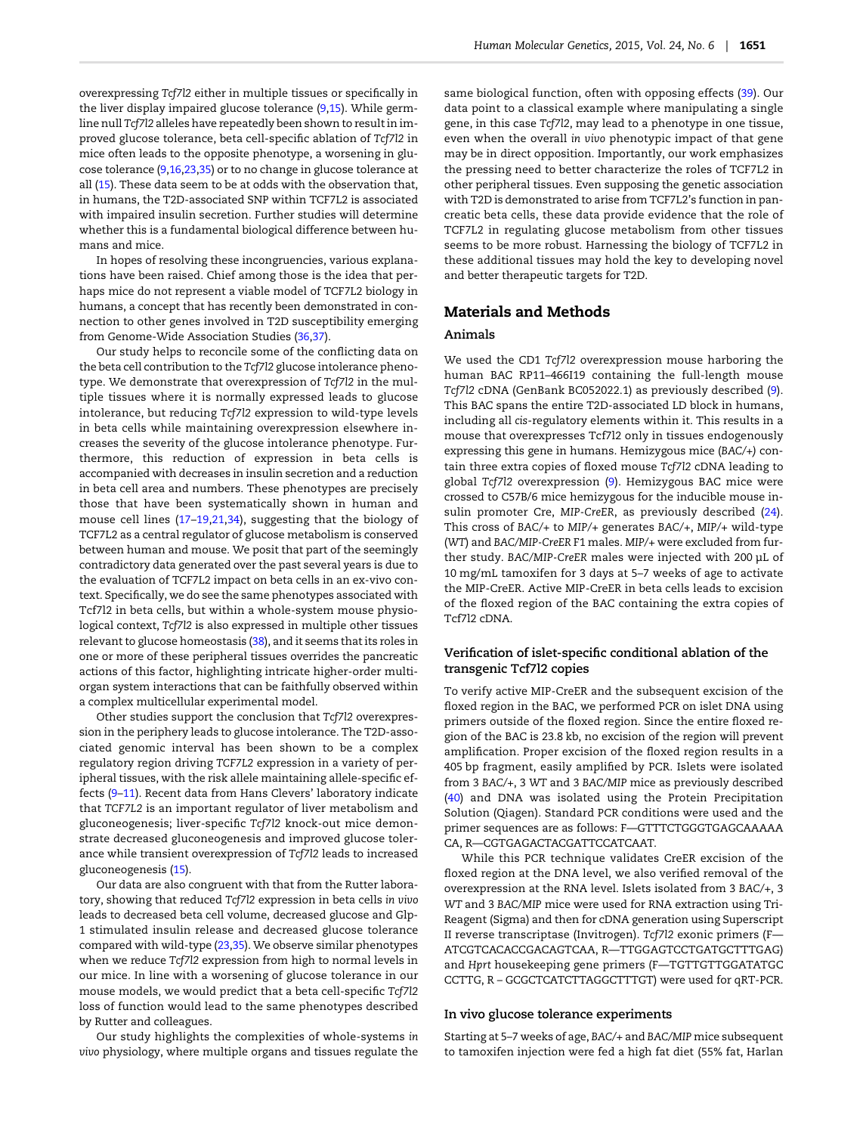overexpressing Tcf7l2 either in multiple tissues or specifically in the liver display impaired glucose tolerance ([9,15\)](#page-7-0). While germline null Tcf7l2 alleles have repeatedly been shown to result in improved glucose tolerance, beta cell-specific ablation of Tcf7l2 in mice often leads to the opposite phenotype, a worsening in glucose tolerance ([9,16,23,35\)](#page-7-0) or to no change in glucose tolerance at all ([15](#page-7-0)). These data seem to be at odds with the observation that, in humans, the T2D-associated SNP within TCF7L2 is associated with impaired insulin secretion. Further studies will determine whether this is a fundamental biological difference between humans and mice.

In hopes of resolving these incongruencies, various explanations have been raised. Chief among those is the idea that perhaps mice do not represent a viable model of TCF7L2 biology in humans, a concept that has recently been demonstrated in connection to other genes involved in T2D susceptibility emerging from Genome-Wide Association Studies [\(36,37](#page-8-0)).

Our study helps to reconcile some of the conflicting data on the beta cell contribution to the Tcf7l2 glucose intolerance phenotype. We demonstrate that overexpression of Tcf7l2 in the multiple tissues where it is normally expressed leads to glucose intolerance, but reducing Tcf7l2 expression to wild-type levels in beta cells while maintaining overexpression elsewhere increases the severity of the glucose intolerance phenotype. Furthermore, this reduction of expression in beta cells is accompanied with decreases in insulin secretion and a reduction in beta cell area and numbers. These phenotypes are precisely those that have been systematically shown in human and mouse cell lines [\(17](#page-7-0)–[19,21,34\)](#page-7-0), suggesting that the biology of TCF7L2 as a central regulator of glucose metabolism is conserved between human and mouse. We posit that part of the seemingly contradictory data generated over the past several years is due to the evaluation of TCF7L2 impact on beta cells in an ex-vivo context. Specifically, we do see the same phenotypes associated with Tcf7l2 in beta cells, but within a whole-system mouse physiological context, Tcf7l2 is also expressed in multiple other tissues relevant to glucose homeostasis [\(38](#page-8-0)), and it seems that its roles in one or more of these peripheral tissues overrides the pancreatic actions of this factor, highlighting intricate higher-order multiorgan system interactions that can be faithfully observed within a complex multicellular experimental model.

Other studies support the conclusion that Tcf7l2 overexpression in the periphery leads to glucose intolerance. The T2D-associated genomic interval has been shown to be a complex regulatory region driving TCF7L2 expression in a variety of peripheral tissues, with the risk allele maintaining allele-specific effects ([9](#page-7-0)–[11](#page-7-0)). Recent data from Hans Clevers' laboratory indicate that TCF7L2 is an important regulator of liver metabolism and gluconeogenesis; liver-specific Tcf7l2 knock-out mice demonstrate decreased gluconeogenesis and improved glucose tolerance while transient overexpression of Tcf7l2 leads to increased gluconeogenesis ([15\)](#page-7-0).

Our data are also congruent with that from the Rutter laboratory, showing that reduced Tcf7l2 expression in beta cells in vivo leads to decreased beta cell volume, decreased glucose and Glp-1 stimulated insulin release and decreased glucose tolerance compared with wild-type [\(23,35\)](#page-7-0). We observe similar phenotypes when we reduce Tcf7l2 expression from high to normal levels in our mice. In line with a worsening of glucose tolerance in our mouse models, we would predict that a beta cell-specific Tcf7l2 loss of function would lead to the same phenotypes described by Rutter and colleagues.

Our study highlights the complexities of whole-systems in vivo physiology, where multiple organs and tissues regulate the

same biological function, often with opposing effects [\(39\)](#page-8-0). Our data point to a classical example where manipulating a single gene, in this case Tcf7l2, may lead to a phenotype in one tissue, even when the overall in vivo phenotypic impact of that gene may be in direct opposition. Importantly, our work emphasizes the pressing need to better characterize the roles of TCF7L2 in other peripheral tissues. Even supposing the genetic association with T2D is demonstrated to arise from TCF7L2's function in pancreatic beta cells, these data provide evidence that the role of TCF7L2 in regulating glucose metabolism from other tissues seems to be more robust. Harnessing the biology of TCF7L2 in these additional tissues may hold the key to developing novel and better therapeutic targets for T2D.

# Materials and Methods

#### Animals

We used the CD1 Tcf7l2 overexpression mouse harboring the human BAC RP11–466I19 containing the full-length mouse Tcf7l2 cDNA (GenBank BC052022.1) as previously described ([9](#page-7-0)). This BAC spans the entire T2D-associated LD block in humans, including all cis-regulatory elements within it. This results in a mouse that overexpresses Tcf7l2 only in tissues endogenously expressing this gene in humans. Hemizygous mice (BAC/+) contain three extra copies of floxed mouse Tcf7l2 cDNA leading to global Tcf7l2 overexpression ([9](#page-7-0)). Hemizygous BAC mice were crossed to C57B/6 mice hemizygous for the inducible mouse insulin promoter Cre, MIP-CreER, as previously described ([24](#page-7-0)). This cross of BAC/+ to MIP/+ generates BAC/+, MIP/+ wild-type (WT) and BAC/MIP-CreER F1 males. MIP/+ were excluded from further study. BAC/MIP-CreER males were injected with 200 µL of 10 mg/mL tamoxifen for 3 days at 5–7 weeks of age to activate the MIP-CreER. Active MIP-CreER in beta cells leads to excision of the floxed region of the BAC containing the extra copies of Tcf7l2 cDNA.

## Verification of islet-specific conditional ablation of the transgenic Tcf7l2 copies

To verify active MIP-CreER and the subsequent excision of the floxed region in the BAC, we performed PCR on islet DNA using primers outside of the floxed region. Since the entire floxed region of the BAC is 23.8 kb, no excision of the region will prevent amplification. Proper excision of the floxed region results in a 405 bp fragment, easily amplified by PCR. Islets were isolated from 3 BAC/+, 3 WT and 3 BAC/MIP mice as previously described ([40\)](#page-8-0) and DNA was isolated using the Protein Precipitation Solution (Qiagen). Standard PCR conditions were used and the primer sequences are as follows: F—GTTTCTGGGTGAGCAAAAA CA, R—CGTGAGACTACGATTCCATCAAT.

While this PCR technique validates CreER excision of the floxed region at the DNA level, we also verified removal of the overexpression at the RNA level. Islets isolated from 3 BAC/+, 3 WT and 3 BAC/MIP mice were used for RNA extraction using Tri-Reagent (Sigma) and then for cDNA generation using Superscript II reverse transcriptase (Invitrogen). Tcf7l2 exonic primers (F— ATCGTCACACCGACAGTCAA, R—TTGGAGTCCTGATGCTTTGAG) and Hprt housekeeping gene primers (F—TGTTGTTGGATATGC CCTTG, R – GCGCTCATCTTAGGCTTTGT) were used for qRT-PCR.

#### In vivo glucose tolerance experiments

Starting at 5–7 weeks of age, BAC/+ and BAC/MIP mice subsequent to tamoxifen injection were fed a high fat diet (55% fat, Harlan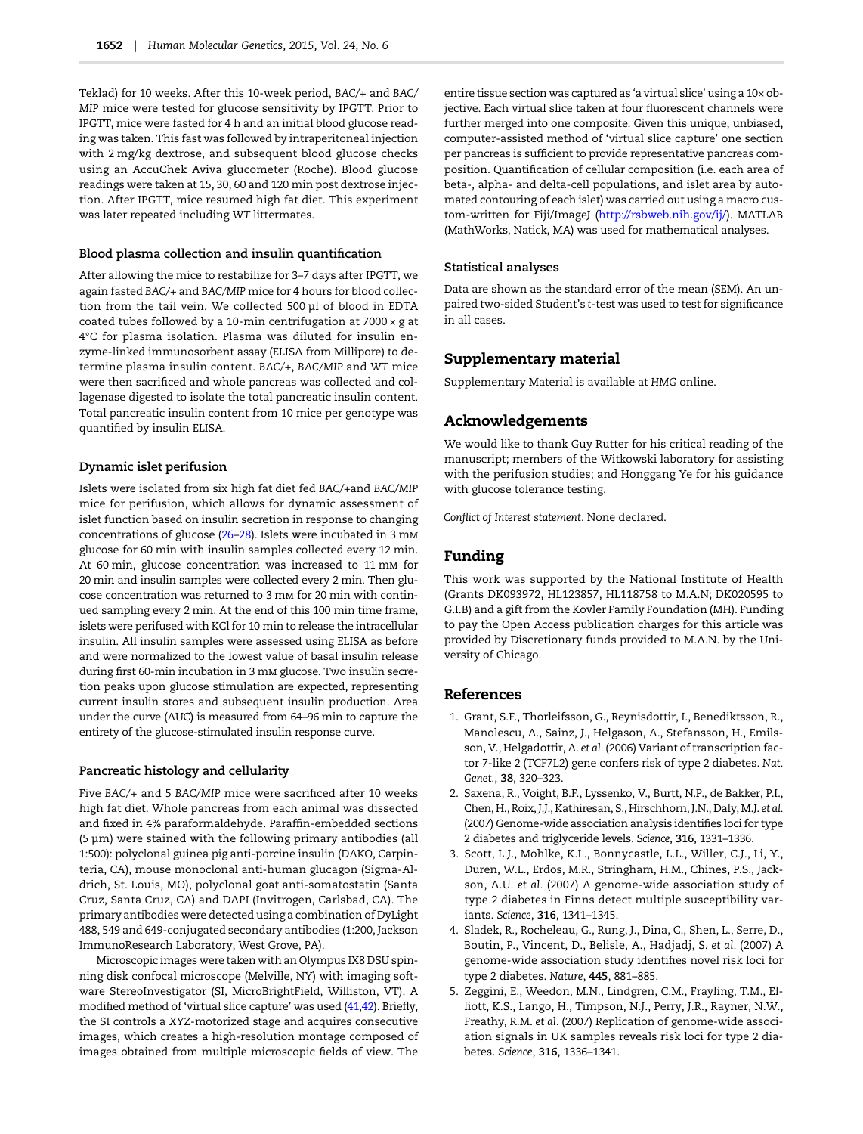<span id="page-6-0"></span>Teklad) for 10 weeks. After this 10-week period, BAC/+ and BAC/ MIP mice were tested for glucose sensitivity by IPGTT. Prior to IPGTT, mice were fasted for 4 h and an initial blood glucose reading was taken. This fast was followed by intraperitoneal injection with 2 mg/kg dextrose, and subsequent blood glucose checks using an AccuChek Aviva glucometer (Roche). Blood glucose readings were taken at 15, 30, 60 and 120 min post dextrose injection. After IPGTT, mice resumed high fat diet. This experiment was later repeated including WT littermates.

### Blood plasma collection and insulin quantification

After allowing the mice to restabilize for 3–7 days after IPGTT, we again fasted BAC/+ and BAC/MIP mice for 4 hours for blood collection from the tail vein. We collected 500 µl of blood in EDTA coated tubes followed by a 10-min centrifugation at  $7000 \times g$  at 4°C for plasma isolation. Plasma was diluted for insulin enzyme-linked immunosorbent assay (ELISA from Millipore) to determine plasma insulin content. BAC/+, BAC/MIP and WT mice were then sacrificed and whole pancreas was collected and collagenase digested to isolate the total pancreatic insulin content. Total pancreatic insulin content from 10 mice per genotype was quantified by insulin ELISA.

#### Dynamic islet perifusion

Islets were isolated from six high fat diet fed BAC/+and BAC/MIP mice for perifusion, which allows for dynamic assessment of islet function based on insulin secretion in response to changing concentrations of glucose ([26](#page-7-0)–[28](#page-7-0)). Islets were incubated in 3 m glucose for 60 min with insulin samples collected every 12 min. At 60 min, glucose concentration was increased to 11 mm for 20 min and insulin samples were collected every 2 min. Then glucose concentration was returned to 3 mm for 20 min with continued sampling every 2 min. At the end of this 100 min time frame, islets were perifused with KCl for 10 min to release the intracellular insulin. All insulin samples were assessed using ELISA as before and were normalized to the lowest value of basal insulin release during first 60-min incubation in 3 mm glucose. Two insulin secretion peaks upon glucose stimulation are expected, representing current insulin stores and subsequent insulin production. Area under the curve (AUC) is measured from 64–96 min to capture the entirety of the glucose-stimulated insulin response curve.

## Pancreatic histology and cellularity

Five BAC/+ and 5 BAC/MIP mice were sacrificed after 10 weeks high fat diet. Whole pancreas from each animal was dissected and fixed in 4% paraformaldehyde. Paraffin-embedded sections (5 µm) were stained with the following primary antibodies (all 1:500): polyclonal guinea pig anti-porcine insulin (DAKO, Carpinteria, CA), mouse monoclonal anti-human glucagon (Sigma-Aldrich, St. Louis, MO), polyclonal goat anti-somatostatin (Santa Cruz, Santa Cruz, CA) and DAPI (Invitrogen, Carlsbad, CA). The primary antibodies were detected using a combination of DyLight 488, 549 and 649-conjugated secondary antibodies (1:200, Jackson ImmunoResearch Laboratory, West Grove, PA).

Microscopic images were taken with an Olympus IX8 DSU spinning disk confocal microscope (Melville, NY) with imaging software StereoInvestigator (SI, MicroBrightField, Williston, VT). A modified method of 'virtual slice capture' was used ([41,42\)](#page-8-0). Briefly, the SI controls a XYZ-motorized stage and acquires consecutive images, which creates a high-resolution montage composed of images obtained from multiple microscopic fields of view. The

entire tissue section was captured as 'a virtual slice' using a 10× objective. Each virtual slice taken at four fluorescent channels were further merged into one composite. Given this unique, unbiased, computer-assisted method of 'virtual slice capture' one section per pancreas is sufficient to provide representative pancreas composition. Quantification of cellular composition (i.e. each area of beta-, alpha- and delta-cell populations, and islet area by automated contouring of each islet) was carried out using a macro cus-tom-written for Fiji/ImageJ [\(http://rsbweb.nih.gov/ij/](http://rsbweb.nih.gov/ij/)). MATLAB (MathWorks, Natick, MA) was used for mathematical analyses.

#### Statistical analyses

Data are shown as the standard error of the mean (SEM). An unpaired two-sided Student's t-test was used to test for significance in all cases.

## Supplementary material

[Supplementary Material is available at](http://hmg.oxfordjournals.org/lookup/suppl/doi:10.1093/hmg/ddu577/-/DC1) HMG online.

# Acknowledgements

We would like to thank Guy Rutter for his critical reading of the manuscript; members of the Witkowski laboratory for assisting with the perifusion studies; and Honggang Ye for his guidance with glucose tolerance testing.

Conflict of Interest statement. None declared.

# Funding

This work was supported by the National Institute of Health (Grants DK093972, HL123857, HL118758 to M.A.N; DK020595 to G.I.B) and a gift from the Kovler Family Foundation (MH). Funding to pay the Open Access publication charges for this article was provided by Discretionary funds provided to M.A.N. by the University of Chicago.

#### References

- 1. Grant, S.F., Thorleifsson, G., Reynisdottir, I., Benediktsson, R., Manolescu, A., Sainz, J., Helgason, A., Stefansson, H., Emilsson, V., Helgadottir, A. et al. (2006) Variant of transcription factor 7-like 2 (TCF7L2) gene confers risk of type 2 diabetes. Nat. Genet., 38, 320–323.
- 2. Saxena, R., Voight, B.F., Lyssenko, V., Burtt, N.P., de Bakker, P.I., Chen, H., Roix, J.J., Kathiresan, S., Hirschhorn, J.N., Daly, M.J. et al. (2007) Genome-wide association analysis identifies loci for type 2 diabetes and triglyceride levels. Science, 316, 1331–1336.
- 3. Scott, L.J., Mohlke, K.L., Bonnycastle, L.L., Willer, C.J., Li, Y., Duren, W.L., Erdos, M.R., Stringham, H.M., Chines, P.S., Jackson, A.U. et al. (2007) A genome-wide association study of type 2 diabetes in Finns detect multiple susceptibility variants. Science, 316, 1341–1345.
- 4. Sladek, R., Rocheleau, G., Rung, J., Dina, C., Shen, L., Serre, D., Boutin, P., Vincent, D., Belisle, A., Hadjadj, S. et al. (2007) A genome-wide association study identifies novel risk loci for type 2 diabetes. Nature, 445, 881–885.
- 5. Zeggini, E., Weedon, M.N., Lindgren, C.M., Frayling, T.M., Elliott, K.S., Lango, H., Timpson, N.J., Perry, J.R., Rayner, N.W., Freathy, R.M. et al. (2007) Replication of genome-wide association signals in UK samples reveals risk loci for type 2 diabetes. Science, 316, 1336–1341.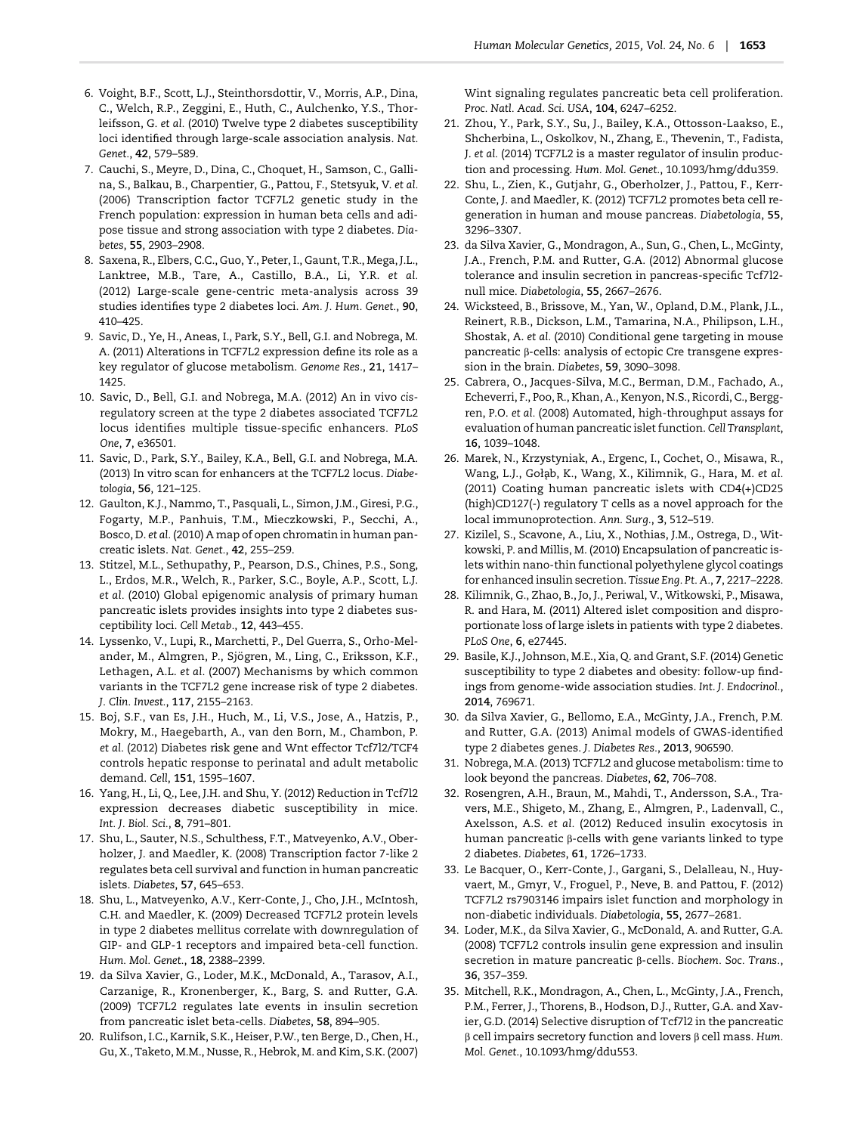- <span id="page-7-0"></span>6. Voight, B.F., Scott, L.J., Steinthorsdottir, V., Morris, A.P., Dina, C., Welch, R.P., Zeggini, E., Huth, C., Aulchenko, Y.S., Thorleifsson, G. et al. (2010) Twelve type 2 diabetes susceptibility loci identified through large-scale association analysis. Nat. Genet., 42, 579–589.
- 7. Cauchi, S., Meyre, D., Dina, C., Choquet, H., Samson, C., Gallina, S., Balkau, B., Charpentier, G., Pattou, F., Stetsyuk, V. et al. (2006) Transcription factor TCF7L2 genetic study in the French population: expression in human beta cells and adipose tissue and strong association with type 2 diabetes. Diabetes, 55, 2903–2908.
- 8. Saxena, R., Elbers, C.C., Guo, Y., Peter, I., Gaunt, T.R., Mega, J.L., Lanktree, M.B., Tare, A., Castillo, B.A., Li, Y.R. et al. (2012) Large-scale gene-centric meta-analysis across 39 studies identifies type 2 diabetes loci. Am. J. Hum. Genet., 90, 410–425.
- 9. Savic, D., Ye, H., Aneas, I., Park, S.Y., Bell, G.I. and Nobrega, M. A. (2011) Alterations in TCF7L2 expression define its role as a key regulator of glucose metabolism. Genome Res., 21, 1417– 1425.
- 10. Savic, D., Bell, G.I. and Nobrega, M.A. (2012) An in vivo cisregulatory screen at the type 2 diabetes associated TCF7L2 locus identifies multiple tissue-specific enhancers. PLoS One, 7, e36501.
- 11. Savic, D., Park, S.Y., Bailey, K.A., Bell, G.I. and Nobrega, M.A. (2013) In vitro scan for enhancers at the TCF7L2 locus. Diabetologia, 56, 121–125.
- 12. Gaulton, K.J., Nammo, T., Pasquali, L., Simon, J.M., Giresi, P.G., Fogarty, M.P., Panhuis, T.M., Mieczkowski, P., Secchi, A., Bosco, D. et al. (2010) A map of open chromatin in human pancreatic islets. Nat. Genet., 42, 255–259.
- 13. Stitzel, M.L., Sethupathy, P., Pearson, D.S., Chines, P.S., Song, L., Erdos, M.R., Welch, R., Parker, S.C., Boyle, A.P., Scott, L.J. et al. (2010) Global epigenomic analysis of primary human pancreatic islets provides insights into type 2 diabetes susceptibility loci. Cell Metab., 12, 443–455.
- 14. Lyssenko, V., Lupi, R., Marchetti, P., Del Guerra, S., Orho-Melander, M., Almgren, P., Sjögren, M., Ling, C., Eriksson, K.F., Lethagen, A.L. et al. (2007) Mechanisms by which common variants in the TCF7L2 gene increase risk of type 2 diabetes. J. Clin. Invest., 117, 2155–2163.
- 15. Boj, S.F., van Es, J.H., Huch, M., Li, V.S., Jose, A., Hatzis, P., Mokry, M., Haegebarth, A., van den Born, M., Chambon, P. et al. (2012) Diabetes risk gene and Wnt effector Tcf7l2/TCF4 controls hepatic response to perinatal and adult metabolic demand. Cell, 151, 1595–1607.
- 16. Yang, H., Li, Q., Lee, J.H. and Shu, Y. (2012) Reduction in Tcf7l2 expression decreases diabetic susceptibility in mice. Int. J. Biol. Sci., 8, 791–801.
- 17. Shu, L., Sauter, N.S., Schulthess, F.T., Matveyenko, A.V., Oberholzer, J. and Maedler, K. (2008) Transcription factor 7-like 2 regulates beta cell survival and function in human pancreatic islets. Diabetes, 57, 645–653.
- 18. Shu, L., Matveyenko, A.V., Kerr-Conte, J., Cho, J.H., McIntosh, C.H. and Maedler, K. (2009) Decreased TCF7L2 protein levels in type 2 diabetes mellitus correlate with downregulation of GIP- and GLP-1 receptors and impaired beta-cell function. Hum. Mol. Genet., 18, 2388–2399.
- 19. da Silva Xavier, G., Loder, M.K., McDonald, A., Tarasov, A.I., Carzanige, R., Kronenberger, K., Barg, S. and Rutter, G.A. (2009) TCF7L2 regulates late events in insulin secretion from pancreatic islet beta-cells. Diabetes, 58, 894–905.
- 20. Rulifson, I.C., Karnik, S.K., Heiser, P.W., ten Berge, D., Chen, H., Gu, X., Taketo, M.M., Nusse, R., Hebrok, M. and Kim, S.K. (2007)

Wint signaling regulates pancreatic beta cell proliferation. Proc. Natl. Acad. Sci. USA, 104, 6247–6252.

- 21. Zhou, Y., Park, S.Y., Su, J., Bailey, K.A., Ottosson-Laakso, E., Shcherbina, L., Oskolkov, N., Zhang, E., Thevenin, T., Fadista, J. et al. (2014) TCF7L2 is a master regulator of insulin production and processing. Hum. Mol. Genet., 10.1093/hmg/ddu359.
- 22. Shu, L., Zien, K., Gutjahr, G., Oberholzer, J., Pattou, F., Kerr-Conte, J. and Maedler, K. (2012) TCF7L2 promotes beta cell regeneration in human and mouse pancreas. Diabetologia, 55, 3296–3307.
- 23. da Silva Xavier, G., Mondragon, A., Sun, G., Chen, L., McGinty, J.A., French, P.M. and Rutter, G.A. (2012) Abnormal glucose tolerance and insulin secretion in pancreas-specific Tcf7l2 null mice. Diabetologia, 55, 2667–2676.
- 24. Wicksteed, B., Brissove, M., Yan, W., Opland, D.M., Plank, J.L., Reinert, R.B., Dickson, L.M., Tamarina, N.A., Philipson, L.H., Shostak, A. et al. (2010) Conditional gene targeting in mouse pancreatic β-cells: analysis of ectopic Cre transgene expression in the brain. Diabetes, 59, 3090–3098.
- 25. Cabrera, O., Jacques-Silva, M.C., Berman, D.M., Fachado, A., Echeverri, F., Poo, R., Khan, A., Kenyon, N.S., Ricordi, C., Berggren, P.O. et al. (2008) Automated, high-throughput assays for evaluation of human pancreatic islet function. Cell Transplant, 16, 1039–1048.
- 26. Marek, N., Krzystyniak, A., Ergenc, I., Cochet, O., Misawa, R., Wang, L.J., Gołąb, K., Wang, X., Kilimnik, G., Hara, M. et al. (2011) Coating human pancreatic islets with CD4(+)CD25 (high)CD127(-) regulatory T cells as a novel approach for the local immunoprotection. Ann. Surg., 3, 512–519.
- 27. Kizilel, S., Scavone, A., Liu, X., Nothias, J.M., Ostrega, D., Witkowski, P. and Millis, M. (2010) Encapsulation of pancreatic islets within nano-thin functional polyethylene glycol coatings for enhanced insulin secretion. Tissue Eng. Pt. A., 7, 2217–2228.
- 28. Kilimnik, G., Zhao, B., Jo, J., Periwal, V., Witkowski, P., Misawa, R. and Hara, M. (2011) Altered islet composition and disproportionate loss of large islets in patients with type 2 diabetes. PLoS One, 6, e27445.
- 29. Basile, K.J., Johnson, M.E., Xia, Q. and Grant, S.F. (2014) Genetic susceptibility to type 2 diabetes and obesity: follow-up findings from genome-wide association studies. Int. J. Endocrinol., 2014, 769671.
- 30. da Silva Xavier, G., Bellomo, E.A., McGinty, J.A., French, P.M. and Rutter, G.A. (2013) Animal models of GWAS-identified type 2 diabetes genes. J. Diabetes Res., 2013, 906590.
- 31. Nobrega, M.A. (2013) TCF7L2 and glucose metabolism: time to look beyond the pancreas. Diabetes, 62, 706–708.
- 32. Rosengren, A.H., Braun, M., Mahdi, T., Andersson, S.A., Travers, M.E., Shigeto, M., Zhang, E., Almgren, P., Ladenvall, C., Axelsson, A.S. et al. (2012) Reduced insulin exocytosis in human pancreatic β-cells with gene variants linked to type 2 diabetes. Diabetes, 61, 1726–1733.
- 33. Le Bacquer, O., Kerr-Conte, J., Gargani, S., Delalleau, N., Huyvaert, M., Gmyr, V., Froguel, P., Neve, B. and Pattou, F. (2012) TCF7L2 rs7903146 impairs islet function and morphology in non-diabetic individuals. Diabetologia, 55, 2677–2681.
- 34. Loder, M.K., da Silva Xavier, G., McDonald, A. and Rutter, G.A. (2008) TCF7L2 controls insulin gene expression and insulin secretion in mature pancreatic β-cells. Biochem. Soc. Trans., 36, 357–359.
- 35. Mitchell, R.K., Mondragon, A., Chen, L., McGinty, J.A., French, P.M., Ferrer, J., Thorens, B., Hodson, D.J., Rutter, G.A. and Xavier, G.D. (2014) Selective disruption of Tcf7l2 in the pancreatic β cell impairs secretory function and lovers β cell mass. Hum. Mol. Genet., 10.1093/hmg/ddu553.